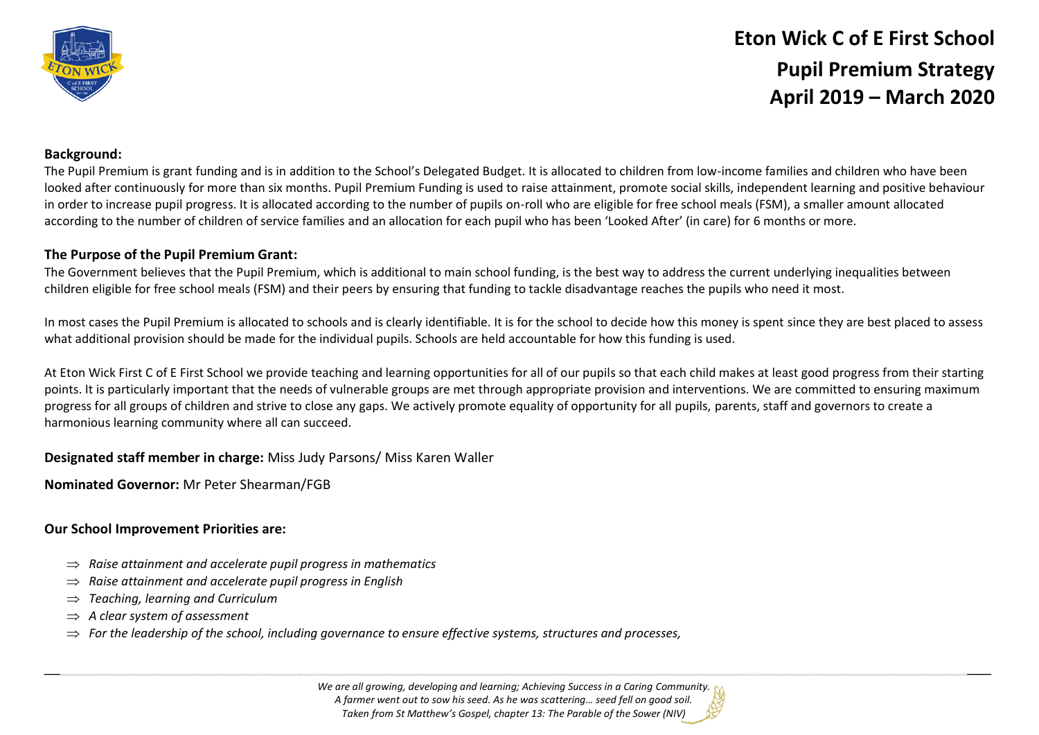

# **Eton Wick C of E First School Pupil Premium Strategy April 2019 – March 2020**

## **Background:**

The Pupil Premium is grant funding and is in addition to the School's Delegated Budget. It is allocated to children from low-income families and children who have been looked after continuously for more than six months. Pupil Premium Funding is used to raise attainment, promote social skills, independent learning and positive behaviour in order to increase pupil progress. It is allocated according to the number of pupils on-roll who are eligible for free school meals (FSM), a smaller amount allocated according to the number of children of service families and an allocation for each pupil who has been 'Looked After' (in care) for 6 months or more.

### **The Purpose of the Pupil Premium Grant:**

The Government believes that the Pupil Premium, which is additional to main school funding, is the best way to address the current underlying inequalities between children eligible for free school meals (FSM) and their peers by ensuring that funding to tackle disadvantage reaches the pupils who need it most.

In most cases the Pupil Premium is allocated to schools and is clearly identifiable. It is for the school to decide how this money is spent since they are best placed to assess what additional provision should be made for the individual pupils. Schools are held accountable for how this funding is used.

At Eton Wick First C of E First School we provide teaching and learning opportunities for all of our pupils so that each child makes at least good progress from their starting points. It is particularly important that the needs of vulnerable groups are met through appropriate provision and interventions. We are committed to ensuring maximum progress for all groups of children and strive to close any gaps. We actively promote equality of opportunity for all pupils, parents, staff and governors to create a harmonious learning community where all can succeed.

#### **Designated staff member in charge:** Miss Judy Parsons/ Miss Karen Waller

**Nominated Governor:** Mr Peter Shearman/FGB

#### **Our School Improvement Priorities are:**

- $\Rightarrow$  Raise attainment and accelerate pupil progress in mathematics
- *Raise attainment and accelerate pupil progress in English*
- *Teaching, learning and Curriculum*
- *A clear system of assessment*
- $\Rightarrow$  For the leadership of the school, including governance to ensure effective systems, structures and processes,

*We are all growing, developing and learning; Achieving Success in a Caring Community. A farmer went out to sow his seed. As he was scattering… seed fell on good soil. Taken from St Matthew's Gospel, chapter 13: The Parable of the Sower (NIV)*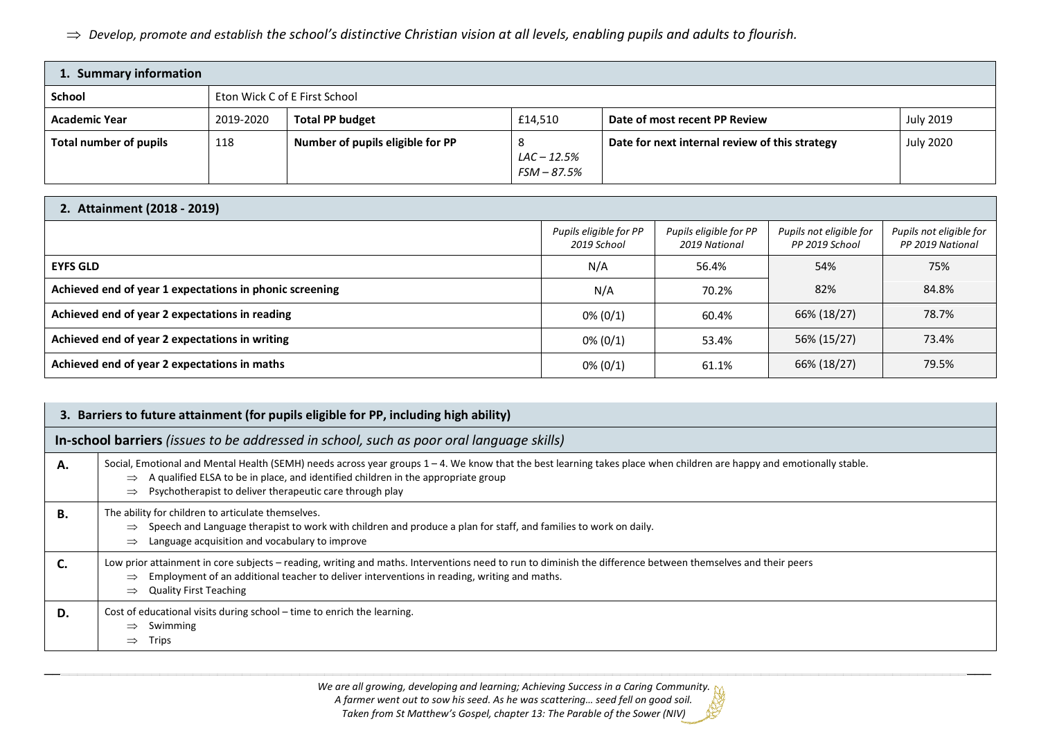*Develop, promote and establish the school's distinctive Christian vision at all levels, enabling pupils and adults to flourish.*

| 1. Summary information |                               |                                  |                                     |                                                |                  |
|------------------------|-------------------------------|----------------------------------|-------------------------------------|------------------------------------------------|------------------|
| School                 | Eton Wick C of E First School |                                  |                                     |                                                |                  |
| <b>Academic Year</b>   | 2019-2020                     | <b>Total PP budget</b>           | £14,510                             | Date of most recent PP Review                  | <b>July 2019</b> |
| Total number of pupils | 118                           | Number of pupils eligible for PP | ୪<br>$LAC - 12.5%$<br>$FSM - 87.5%$ | Date for next internal review of this strategy | <b>July 2020</b> |

# **2. Attainment (2018 - 2019)**

|                                                         | Pupils eligible for PP<br>2019 School | Pupils eligible for PP<br>2019 National | Pupils not eligible for<br>PP 2019 School | Pupils not eligible for<br>PP 2019 National |
|---------------------------------------------------------|---------------------------------------|-----------------------------------------|-------------------------------------------|---------------------------------------------|
| <b>EYFS GLD</b>                                         | N/A                                   | 56.4%                                   | 54%                                       | 75%                                         |
| Achieved end of year 1 expectations in phonic screening | N/A                                   | 70.2%                                   | 82%                                       | 84.8%                                       |
| Achieved end of year 2 expectations in reading          | $0\% (0/1)$                           | 60.4%                                   | 66% (18/27)                               | 78.7%                                       |
| Achieved end of year 2 expectations in writing          | $0\% (0/1)$                           | 53.4%                                   | 56% (15/27)                               | 73.4%                                       |
| Achieved end of year 2 expectations in maths            | $0\% (0/1)$                           | 61.1%                                   | 66% (18/27)                               | 79.5%                                       |

| 3. Barriers to future attainment (for pupils eligible for PP, including high ability) |                                                                                                                                                                                                                                                                                                                                         |  |  |  |
|---------------------------------------------------------------------------------------|-----------------------------------------------------------------------------------------------------------------------------------------------------------------------------------------------------------------------------------------------------------------------------------------------------------------------------------------|--|--|--|
|                                                                                       | In-school barriers (issues to be addressed in school, such as poor oral language skills)                                                                                                                                                                                                                                                |  |  |  |
| А.                                                                                    | Social, Emotional and Mental Health (SEMH) needs across year groups 1 - 4. We know that the best learning takes place when children are happy and emotionally stable.<br>A qualified ELSA to be in place, and identified children in the appropriate group<br>$\Rightarrow$<br>Psychotherapist to deliver therapeutic care through play |  |  |  |
| В.                                                                                    | The ability for children to articulate themselves.<br>Speech and Language therapist to work with children and produce a plan for staff, and families to work on daily.<br>$\Rightarrow$<br>Language acquisition and vocabulary to improve<br>$\Rightarrow$                                                                              |  |  |  |
| C.                                                                                    | Low prior attainment in core subjects - reading, writing and maths. Interventions need to run to diminish the difference between themselves and their peers<br>Employment of an additional teacher to deliver interventions in reading, writing and maths.<br>$\Rightarrow$<br><b>Quality First Teaching</b><br>$\Rightarrow$           |  |  |  |
| D.                                                                                    | Cost of educational visits during school - time to enrich the learning.<br>Swimming<br>$\Rightarrow$<br>Trips<br>$\Rightarrow$                                                                                                                                                                                                          |  |  |  |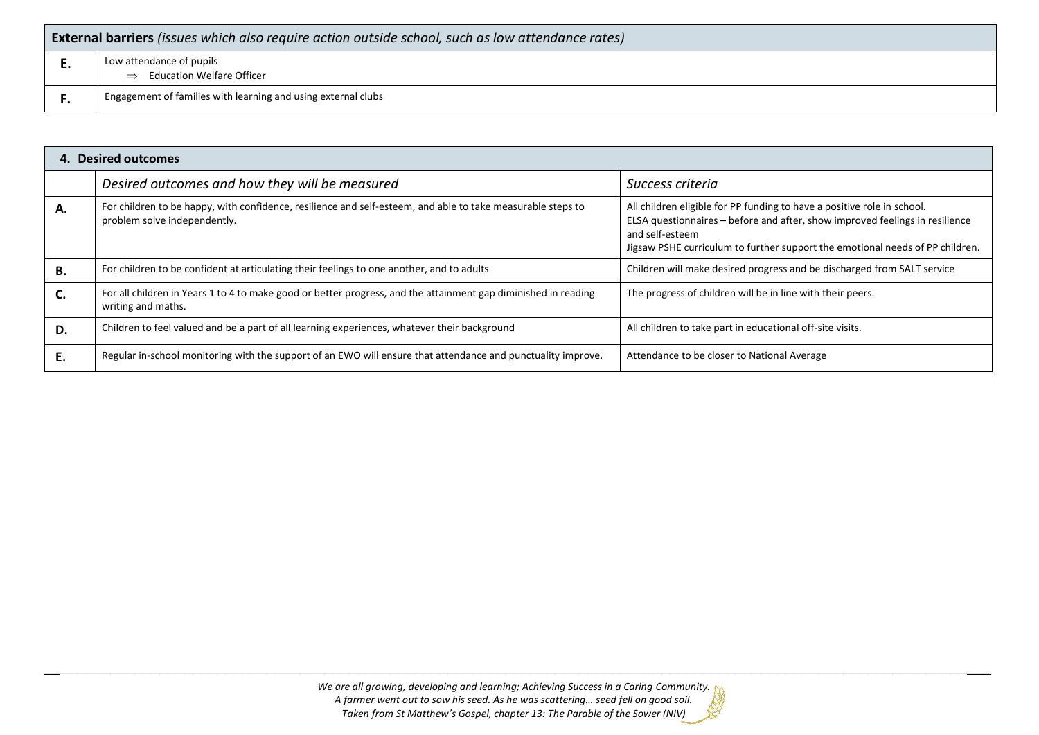| <b>External barriers</b> (issues which also require action outside school, such as low attendance rates) |                                                                               |  |  |
|----------------------------------------------------------------------------------------------------------|-------------------------------------------------------------------------------|--|--|
| . .                                                                                                      | Low attendance of pupils<br><b>Education Welfare Officer</b><br>$\Rightarrow$ |  |  |
|                                                                                                          | Engagement of families with learning and using external clubs                 |  |  |

| 4. Desired outcomes |                                                                                                                                             |                                                                                                                                                                                                                                                             |  |
|---------------------|---------------------------------------------------------------------------------------------------------------------------------------------|-------------------------------------------------------------------------------------------------------------------------------------------------------------------------------------------------------------------------------------------------------------|--|
|                     | Desired outcomes and how they will be measured                                                                                              | Success criteria                                                                                                                                                                                                                                            |  |
| Α.                  | For children to be happy, with confidence, resilience and self-esteem, and able to take measurable steps to<br>problem solve independently. | All children eligible for PP funding to have a positive role in school.<br>ELSA questionnaires - before and after, show improved feelings in resilience<br>and self-esteem<br>Jigsaw PSHE curriculum to further support the emotional needs of PP children. |  |
| В.                  | For children to be confident at articulating their feelings to one another, and to adults                                                   | Children will make desired progress and be discharged from SALT service                                                                                                                                                                                     |  |
| C.                  | For all children in Years 1 to 4 to make good or better progress, and the attainment gap diminished in reading<br>writing and maths.        | The progress of children will be in line with their peers.                                                                                                                                                                                                  |  |
| D.                  | Children to feel valued and be a part of all learning experiences, whatever their background                                                | All children to take part in educational off-site visits.                                                                                                                                                                                                   |  |
|                     | Regular in-school monitoring with the support of an EWO will ensure that attendance and punctuality improve.                                | Attendance to be closer to National Average                                                                                                                                                                                                                 |  |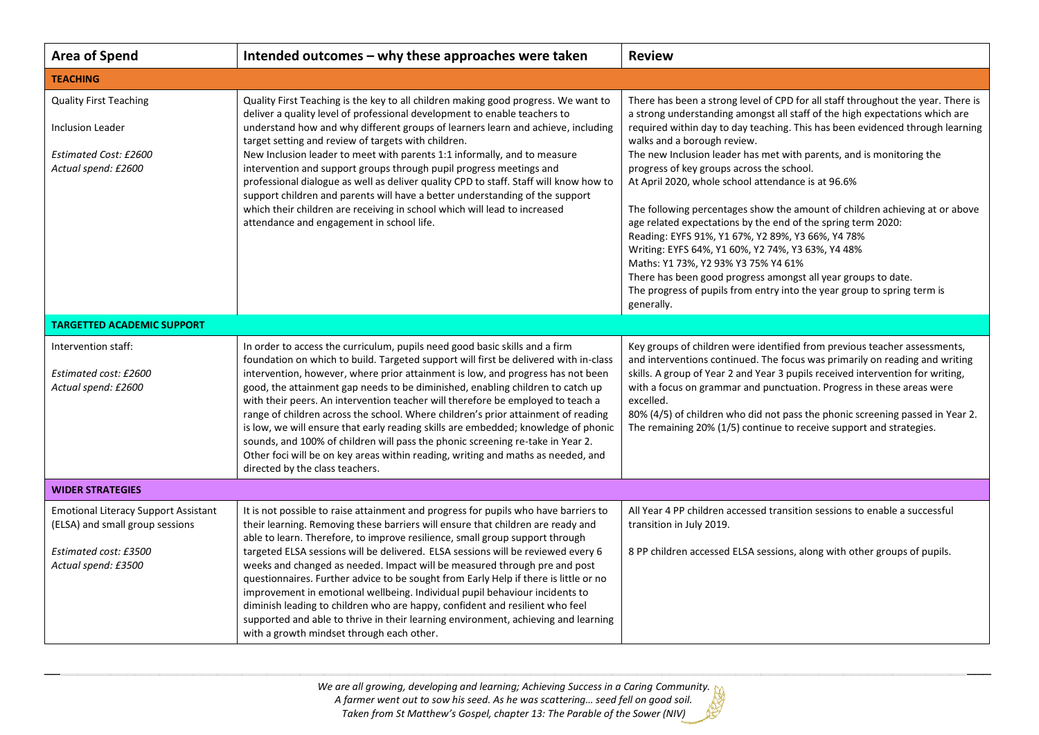| <b>Area of Spend</b>                                                                                                           | Intended outcomes - why these approaches were taken                                                                                                                                                                                                                                                                                                                                                                                                                                                                                                                                                                                                                                                                                                                                                               | <b>Review</b>                                                                                                                                                                                                                                                                                                                                                                                                                                                                                                                                                                                                                                                                                                                                                                                                                                                                                                        |  |  |
|--------------------------------------------------------------------------------------------------------------------------------|-------------------------------------------------------------------------------------------------------------------------------------------------------------------------------------------------------------------------------------------------------------------------------------------------------------------------------------------------------------------------------------------------------------------------------------------------------------------------------------------------------------------------------------------------------------------------------------------------------------------------------------------------------------------------------------------------------------------------------------------------------------------------------------------------------------------|----------------------------------------------------------------------------------------------------------------------------------------------------------------------------------------------------------------------------------------------------------------------------------------------------------------------------------------------------------------------------------------------------------------------------------------------------------------------------------------------------------------------------------------------------------------------------------------------------------------------------------------------------------------------------------------------------------------------------------------------------------------------------------------------------------------------------------------------------------------------------------------------------------------------|--|--|
| <b>TEACHING</b>                                                                                                                |                                                                                                                                                                                                                                                                                                                                                                                                                                                                                                                                                                                                                                                                                                                                                                                                                   |                                                                                                                                                                                                                                                                                                                                                                                                                                                                                                                                                                                                                                                                                                                                                                                                                                                                                                                      |  |  |
| <b>Quality First Teaching</b><br><b>Inclusion Leader</b><br>Estimated Cost: £2600<br>Actual spend: £2600                       | Quality First Teaching is the key to all children making good progress. We want to<br>deliver a quality level of professional development to enable teachers to<br>understand how and why different groups of learners learn and achieve, including<br>target setting and review of targets with children.<br>New Inclusion leader to meet with parents 1:1 informally, and to measure<br>intervention and support groups through pupil progress meetings and<br>professional dialogue as well as deliver quality CPD to staff. Staff will know how to<br>support children and parents will have a better understanding of the support<br>which their children are receiving in school which will lead to increased<br>attendance and engagement in school life.                                                  | There has been a strong level of CPD for all staff throughout the year. There is<br>a strong understanding amongst all staff of the high expectations which are<br>required within day to day teaching. This has been evidenced through learning<br>walks and a borough review.<br>The new Inclusion leader has met with parents, and is monitoring the<br>progress of key groups across the school.<br>At April 2020, whole school attendance is at 96.6%<br>The following percentages show the amount of children achieving at or above<br>age related expectations by the end of the spring term 2020:<br>Reading: EYFS 91%, Y1 67%, Y2 89%, Y3 66%, Y4 78%<br>Writing: EYFS 64%, Y1 60%, Y2 74%, Y3 63%, Y4 48%<br>Maths: Y1 73%, Y2 93% Y3 75% Y4 61%<br>There has been good progress amongst all year groups to date.<br>The progress of pupils from entry into the year group to spring term is<br>generally. |  |  |
| <b>TARGETTED ACADEMIC SUPPORT</b>                                                                                              |                                                                                                                                                                                                                                                                                                                                                                                                                                                                                                                                                                                                                                                                                                                                                                                                                   |                                                                                                                                                                                                                                                                                                                                                                                                                                                                                                                                                                                                                                                                                                                                                                                                                                                                                                                      |  |  |
| Intervention staff:<br>Estimated cost: £2600<br>Actual spend: £2600                                                            | In order to access the curriculum, pupils need good basic skills and a firm<br>foundation on which to build. Targeted support will first be delivered with in-class<br>intervention, however, where prior attainment is low, and progress has not been<br>good, the attainment gap needs to be diminished, enabling children to catch up<br>with their peers. An intervention teacher will therefore be employed to teach a<br>range of children across the school. Where children's prior attainment of reading<br>is low, we will ensure that early reading skills are embedded; knowledge of phonic<br>sounds, and 100% of children will pass the phonic screening re-take in Year 2.<br>Other foci will be on key areas within reading, writing and maths as needed, and<br>directed by the class teachers.   | Key groups of children were identified from previous teacher assessments,<br>and interventions continued. The focus was primarily on reading and writing<br>skills. A group of Year 2 and Year 3 pupils received intervention for writing,<br>with a focus on grammar and punctuation. Progress in these areas were<br>excelled.<br>80% (4/5) of children who did not pass the phonic screening passed in Year 2.<br>The remaining 20% (1/5) continue to receive support and strategies.                                                                                                                                                                                                                                                                                                                                                                                                                             |  |  |
| <b>WIDER STRATEGIES</b>                                                                                                        |                                                                                                                                                                                                                                                                                                                                                                                                                                                                                                                                                                                                                                                                                                                                                                                                                   |                                                                                                                                                                                                                                                                                                                                                                                                                                                                                                                                                                                                                                                                                                                                                                                                                                                                                                                      |  |  |
| <b>Emotional Literacy Support Assistant</b><br>(ELSA) and small group sessions<br>Estimated cost: £3500<br>Actual spend: £3500 | It is not possible to raise attainment and progress for pupils who have barriers to<br>their learning. Removing these barriers will ensure that children are ready and<br>able to learn. Therefore, to improve resilience, small group support through<br>targeted ELSA sessions will be delivered. ELSA sessions will be reviewed every 6<br>weeks and changed as needed. Impact will be measured through pre and post<br>questionnaires. Further advice to be sought from Early Help if there is little or no<br>improvement in emotional wellbeing. Individual pupil behaviour incidents to<br>diminish leading to children who are happy, confident and resilient who feel<br>supported and able to thrive in their learning environment, achieving and learning<br>with a growth mindset through each other. | All Year 4 PP children accessed transition sessions to enable a successful<br>transition in July 2019.<br>8 PP children accessed ELSA sessions, along with other groups of pupils.                                                                                                                                                                                                                                                                                                                                                                                                                                                                                                                                                                                                                                                                                                                                   |  |  |